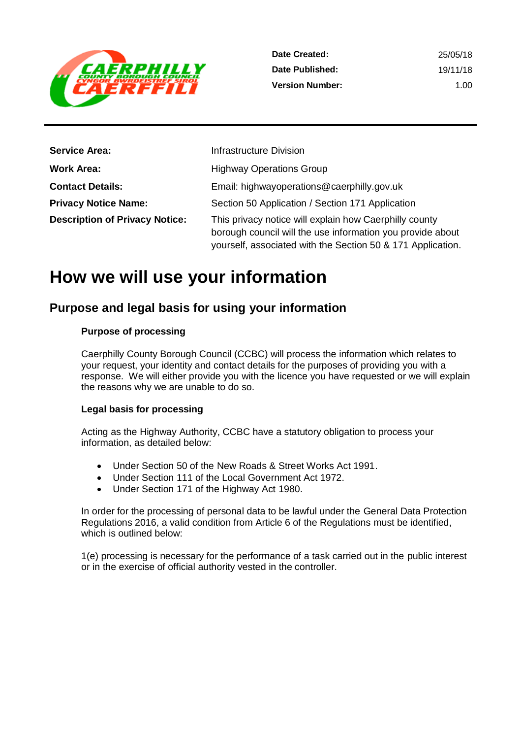

| <b>Service Area:</b>                  | Infrastructure Division                                                                                                                                                             |
|---------------------------------------|-------------------------------------------------------------------------------------------------------------------------------------------------------------------------------------|
| <b>Work Area:</b>                     | <b>Highway Operations Group</b>                                                                                                                                                     |
| <b>Contact Details:</b>               | Email: highwayoperations@caerphilly.gov.uk                                                                                                                                          |
| <b>Privacy Notice Name:</b>           | Section 50 Application / Section 171 Application                                                                                                                                    |
| <b>Description of Privacy Notice:</b> | This privacy notice will explain how Caerphilly county<br>borough council will the use information you provide about<br>yourself, associated with the Section 50 & 171 Application. |

# **How we will use your information**

## **Purpose and legal basis for using your information**

#### **Purpose of processing**

Caerphilly County Borough Council (CCBC) will process the information which relates to your request, your identity and contact details for the purposes of providing you with a response. We will either provide you with the licence you have requested or we will explain the reasons why we are unable to do so.

#### **Legal basis for processing**

Acting as the Highway Authority, CCBC have a statutory obligation to process your information, as detailed below:

- Under Section 50 of the New Roads & Street Works Act 1991.
- Under Section 111 of the Local Government Act 1972.
- Under Section 171 of the Highway Act 1980.

In order for the processing of personal data to be lawful under the General Data Protection Regulations 2016, a valid condition from Article 6 of the Regulations must be identified, which is outlined below:

1(e) processing is necessary for the performance of a task carried out in the public interest or in the exercise of official authority vested in the controller.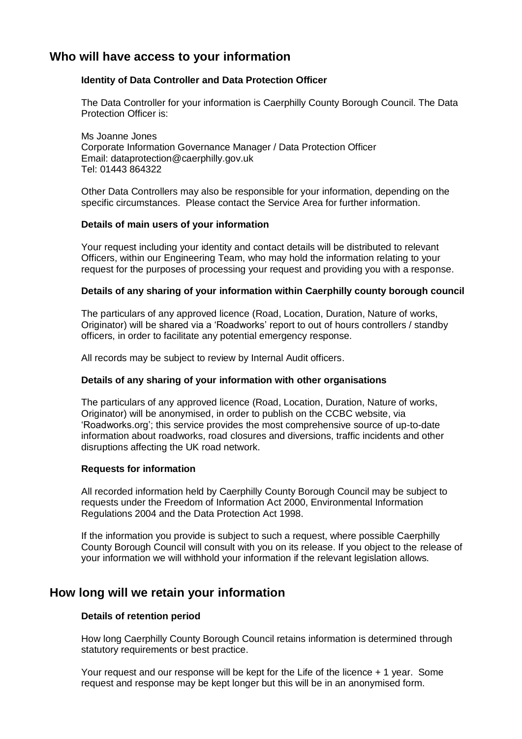## **Who will have access to your information**

#### **Identity of Data Controller and Data Protection Officer**

The Data Controller for your information is Caerphilly County Borough Council. The Data Protection Officer is:

Ms Joanne Jones Corporate Information Governance Manager / Data Protection Officer Email: dataprotection@caerphilly.gov.uk Tel: 01443 864322

Other Data Controllers may also be responsible for your information, depending on the specific circumstances. Please contact the Service Area for further information.

#### **Details of main users of your information**

Your request including your identity and contact details will be distributed to relevant Officers, within our Engineering Team, who may hold the information relating to your request for the purposes of processing your request and providing you with a response.

#### **Details of any sharing of your information within Caerphilly county borough council**

The particulars of any approved licence (Road, Location, Duration, Nature of works, Originator) will be shared via a 'Roadworks' report to out of hours controllers / standby officers, in order to facilitate any potential emergency response.

All records may be subject to review by Internal Audit officers.

#### **Details of any sharing of your information with other organisations**

The particulars of any approved licence (Road, Location, Duration, Nature of works, Originator) will be anonymised, in order to publish on the CCBC website, via 'Roadworks.org'; this service provides the most comprehensive source of up-to-date information about roadworks, road closures and diversions, traffic incidents and other disruptions affecting the UK road network.

#### **Requests for information**

All recorded information held by Caerphilly County Borough Council may be subject to requests under the Freedom of Information Act 2000, Environmental Information Regulations 2004 and the Data Protection Act 1998.

If the information you provide is subject to such a request, where possible Caerphilly County Borough Council will consult with you on its release. If you object to the release of your information we will withhold your information if the relevant legislation allows.

### **How long will we retain your information**

#### **Details of retention period**

How long Caerphilly County Borough Council retains information is determined through statutory requirements or best practice.

Your request and our response will be kept for the Life of the licence + 1 year. Some request and response may be kept longer but this will be in an anonymised form.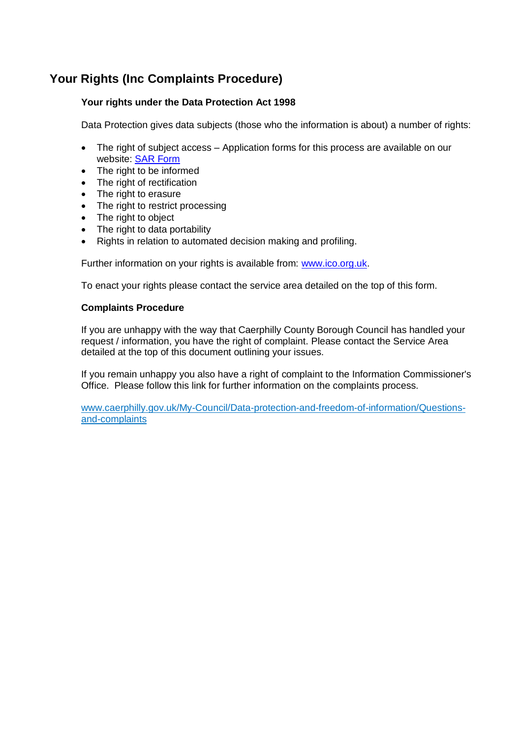## **Your Rights (Inc Complaints Procedure)**

#### **Your rights under the Data Protection Act 1998**

Data Protection gives data subjects (those who the information is about) a number of rights:

- The right of subject access Application forms for this process are available on our website: [SAR Form](http://www.caerphilly.gov.uk/CaerphillyDocs/Council-and-democracy/sar_form.aspx)
- The right to be informed
- The right of rectification
- The right to erasure
- The right to restrict processing
- The right to object
- The right to data portability
- Rights in relation to automated decision making and profiling.

Further information on your rights is available from: [www.ico.org.uk.](http://www.ico.org.uk/)

To enact your rights please contact the service area detailed on the top of this form.

#### **Complaints Procedure**

If you are unhappy with the way that Caerphilly County Borough Council has handled your request / information, you have the right of complaint. Please contact the Service Area detailed at the top of this document outlining your issues.

If you remain unhappy you also have a right of complaint to the Information Commissioner's Office. Please follow this link for further information on the complaints process.

[www.caerphilly.gov.uk/My-Council/Data-protection-and-freedom-of-information/Questions](http://www.caerphilly.gov.uk/My-Council/Data-protection-and-freedom-of-information/Questions-and-complaints)[and-complaints](http://www.caerphilly.gov.uk/My-Council/Data-protection-and-freedom-of-information/Questions-and-complaints)